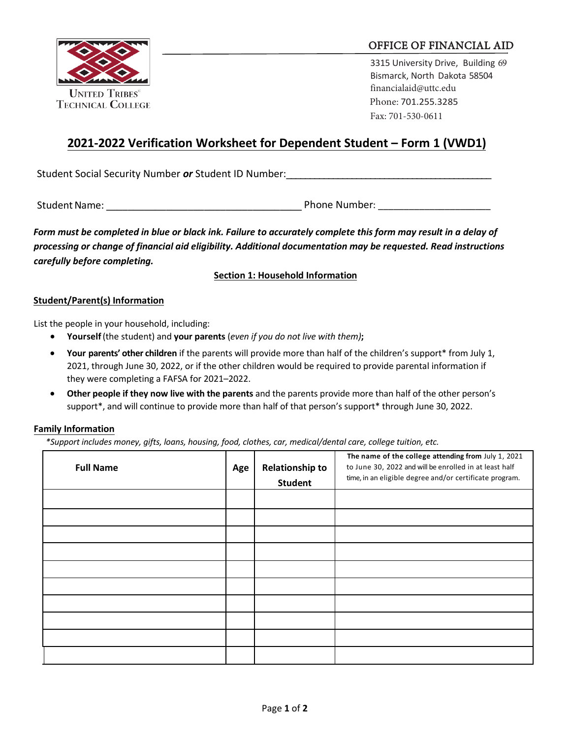

## OFFICE OF FINANCIAL AID

3315 University Drive, Building 69 Bismarck, North Dakota 58504 [financialaid@uttc.edu](mailto:financialaid@uttc.edu) Phone: 701.255.3285 Fax: 701-530-0611

# **2021-2022 Verification Worksheet for Dependent Student – Form 1 (VWD1)**

Student Social Security Number *or* Student ID Number:

Student Name: etc. All and the student Name: the Student Name: the Student Name: the Student Name: the Student

*Form must be completed in blue or black ink. Failure to accurately complete this form may result in a delay of processing or change of financial aid eligibility. Additional documentation may be requested. Read instructions carefully before completing.*

**Section 1: Household Information**

### **Student/Parent(s) Information**

List the people in your household, including:

- **Yourself**(the student) and **your parents** (*even if you do not live with them)***;**
- **Your parents' other children** if the parents will provide more than half of the children's support\* from July 1, 2021, through June 30, 2022, or if the other children would be required to provide parental information if they were completing a FAFSA for 2021–2022.
- **Other people if they now live with the parents** and the parents provide more than half of the other person's support\*, and will continue to provide more than half of that person's support\* through June 30, 2022.

### **Family Information**

*\*Support includes money, gifts, loans, housing, food, clothes, car, medical/dental care, college tuition, etc.*

| <b>Full Name</b> | Age | <b>Relationship to</b><br><b>Student</b> | The name of the college attending from July 1, 2021<br>to June 30, 2022 and will be enrolled in at least half<br>time, in an eligible degree and/or certificate program. |
|------------------|-----|------------------------------------------|--------------------------------------------------------------------------------------------------------------------------------------------------------------------------|
|                  |     |                                          |                                                                                                                                                                          |
|                  |     |                                          |                                                                                                                                                                          |
|                  |     |                                          |                                                                                                                                                                          |
|                  |     |                                          |                                                                                                                                                                          |
|                  |     |                                          |                                                                                                                                                                          |
|                  |     |                                          |                                                                                                                                                                          |
|                  |     |                                          |                                                                                                                                                                          |
|                  |     |                                          |                                                                                                                                                                          |
|                  |     |                                          |                                                                                                                                                                          |
|                  |     |                                          |                                                                                                                                                                          |